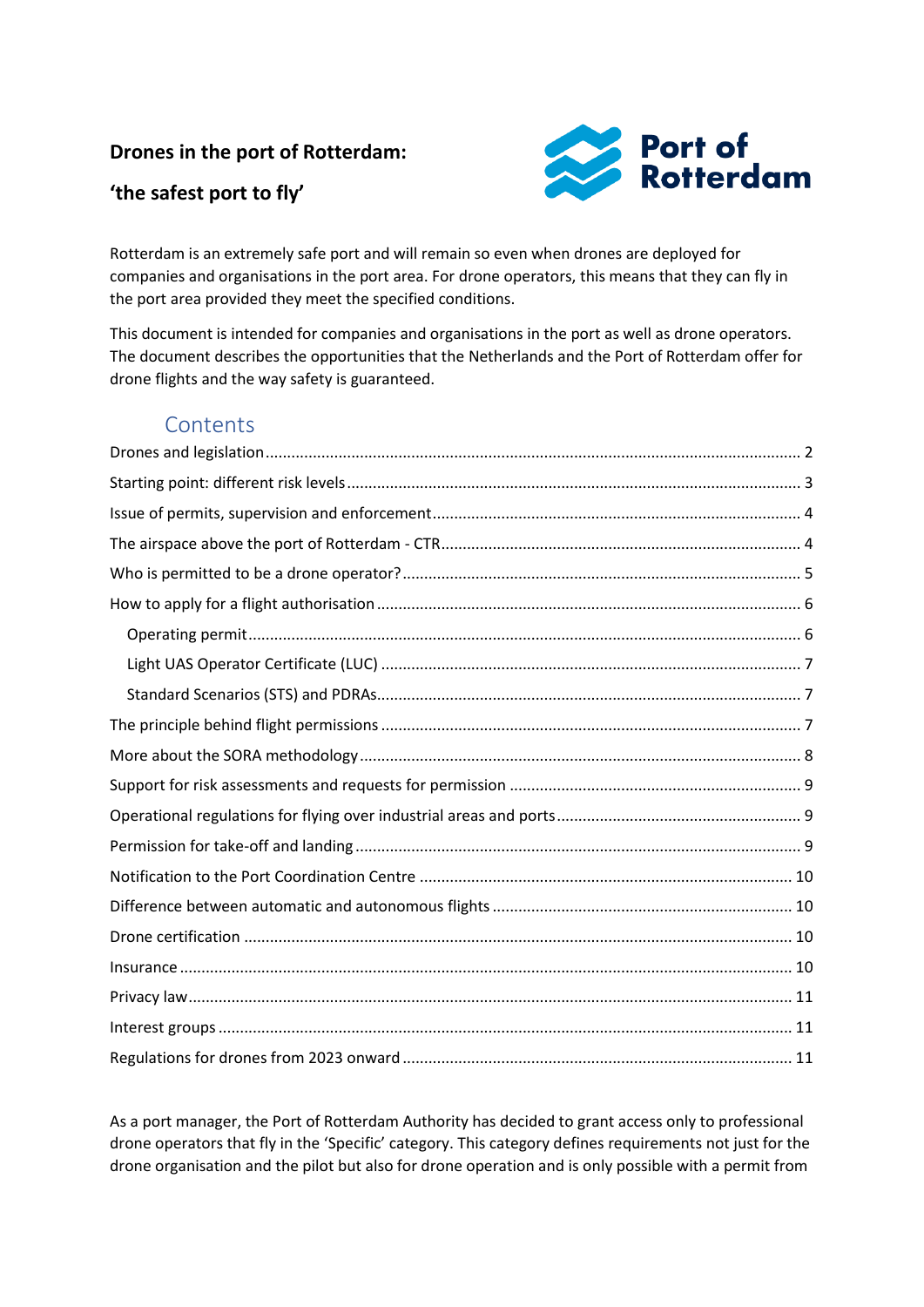#### **Drones in the port of Rotterdam:**

### **'the safest port to fly'**



Rotterdam is an extremely safe port and will remain so even when drones are deployed for companies and organisations in the port area. For drone operators, this means that they can fly in the port area provided they meet the specified conditions.

This document is intended for companies and organisations in the port as well as drone operators. The document describes the opportunities that the Netherlands and the Port of Rotterdam offer for drone flights and the way safety is guaranteed.

### **Contents**

As a port manager, the Port of Rotterdam Authority has decided to grant access only to professional drone operators that fly in the 'Specific' category. This category defines requirements not just for the drone organisation and the pilot but also for drone operation and is only possible with a permit from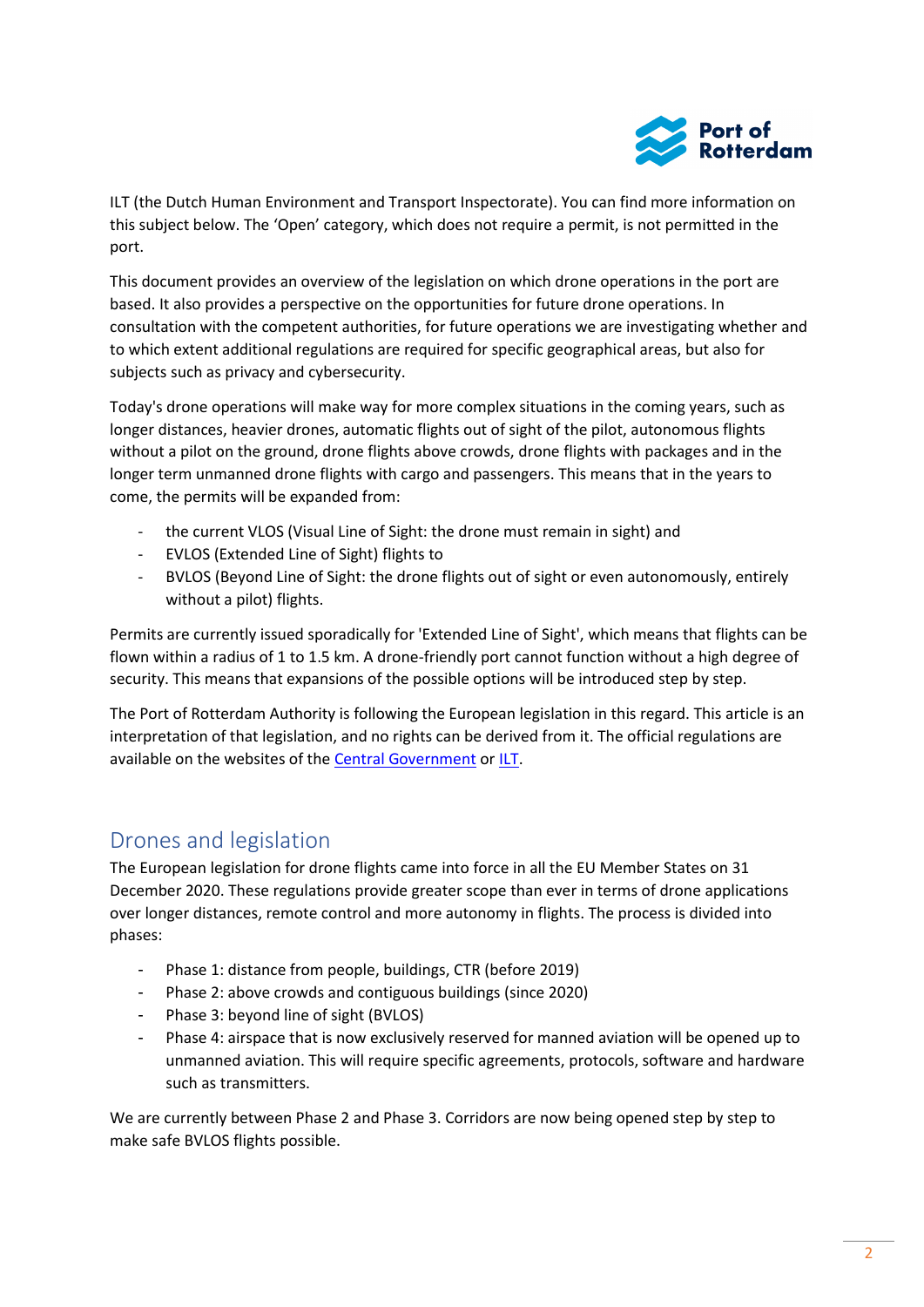

ILT (the Dutch Human Environment and Transport Inspectorate). You can find more information on this subject below. The 'Open' category, which does not require a permit, is not permitted in the port.

This document provides an overview of the legislation on which drone operations in the port are based. It also provides a perspective on the opportunities for future drone operations. In consultation with the competent authorities, for future operations we are investigating whether and to which extent additional regulations are required for specific geographical areas, but also for subjects such as privacy and cybersecurity.

Today's drone operations will make way for more complex situations in the coming years, such as longer distances, heavier drones, automatic flights out of sight of the pilot, autonomous flights without a pilot on the ground, drone flights above crowds, drone flights with packages and in the longer term unmanned drone flights with cargo and passengers. This means that in the years to come, the permits will be expanded from:

- the current VLOS (Visual Line of Sight: the drone must remain in sight) and
- EVLOS (Extended Line of Sight) flights to
- BVLOS (Beyond Line of Sight: the drone flights out of sight or even autonomously, entirely without a pilot) flights.

Permits are currently issued sporadically for 'Extended Line of Sight', which means that flights can be flown within a radius of 1 to 1.5 km. A drone-friendly port cannot function without a high degree of security. This means that expansions of the possible options will be introduced step by step.

The Port of Rotterdam Authority is following the European legislation in this regard. This article is an interpretation of that legislation, and no rights can be derived from it. The official regulations are available on the websites of the [Central Government](https://www.rijksoverheid.nl/onderwerpen/drone) or [ILT.](https://www.ilent.nl/onderwerpen/drones)

#### <span id="page-1-0"></span>Drones and legislation

The European legislation for drone flights came into force in all the EU Member States on 31 December 2020. These regulations provide greater scope than ever in terms of drone applications over longer distances, remote control and more autonomy in flights. The process is divided into phases:

- Phase 1: distance from people, buildings, CTR (before 2019)
- Phase 2: above crowds and contiguous buildings (since 2020)
- Phase 3: beyond line of sight (BVLOS)
- Phase 4: airspace that is now exclusively reserved for manned aviation will be opened up to unmanned aviation. This will require specific agreements, protocols, software and hardware such as transmitters.

We are currently between Phase 2 and Phase 3. Corridors are now being opened step by step to make safe BVLOS flights possible.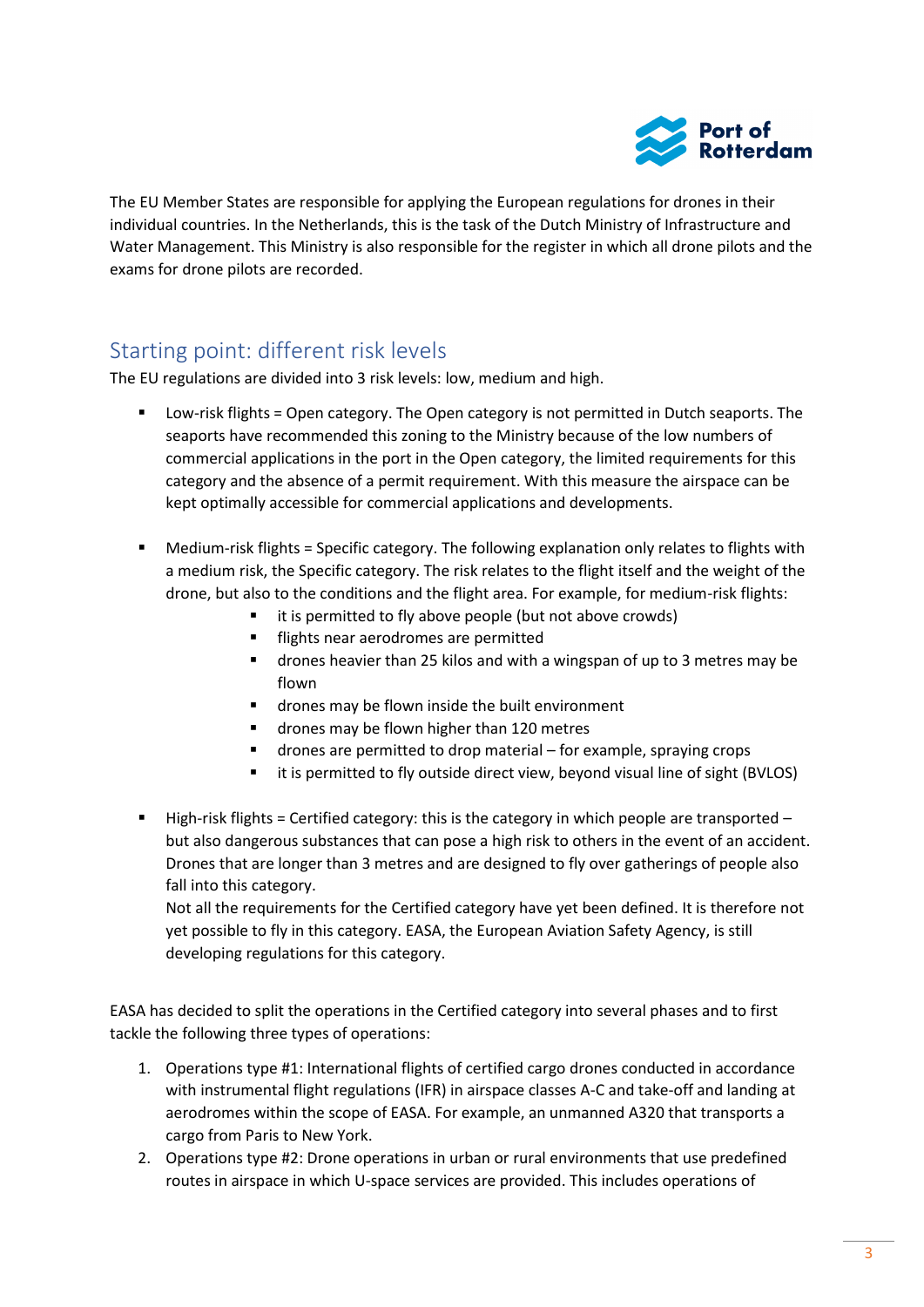

The EU Member States are responsible for applying the European regulations for drones in their individual countries. In the Netherlands, this is the task of the Dutch Ministry of Infrastructure and Water Management. This Ministry is also responsible for the register in which all drone pilots and the exams for drone pilots are recorded.

## <span id="page-2-0"></span>Starting point: different risk levels

The EU regulations are divided into 3 risk levels: low, medium and high.

- Low-risk flights = Open category. The Open category is not permitted in Dutch seaports. The seaports have recommended this zoning to the Ministry because of the low numbers of commercial applications in the port in the Open category, the limited requirements for this category and the absence of a permit requirement. With this measure the airspace can be kept optimally accessible for commercial applications and developments.
- Medium-risk flights = Specific category. The following explanation only relates to flights with a medium risk, the Specific category. The risk relates to the flight itself and the weight of the drone, but also to the conditions and the flight area. For example, for medium-risk flights:
	- it is permitted to fly above people (but not above crowds)
	- **·** flights near aerodromes are permitted
	- drones heavier than 25 kilos and with a wingspan of up to 3 metres may be flown
	- drones may be flown inside the built environment
	- drones may be flown higher than 120 metres
	- drones are permitted to drop material for example, spraying crops
	- it is permitted to fly outside direct view, beyond visual line of sight (BVLOS)
- $\blacksquare$  High-risk flights = Certified category: this is the category in which people are transported but also dangerous substances that can pose a high risk to others in the event of an accident. Drones that are longer than 3 metres and are designed to fly over gatherings of people also fall into this category.

Not all the requirements for the Certified category have yet been defined. It is therefore not yet possible to fly in this category. EASA, the European Aviation Safety Agency, is still developing regulations for this category.

EASA has decided to split the operations in the Certified category into several phases and to first tackle the following three types of operations:

- 1. Operations type #1: International flights of certified cargo drones conducted in accordance with instrumental flight regulations (IFR) in airspace classes A-C and take-off and landing at aerodromes within the scope of EASA. For example, an unmanned A320 that transports a cargo from Paris to New York.
- 2. Operations type #2: Drone operations in urban or rural environments that use predefined routes in airspace in which U-space services are provided. This includes operations of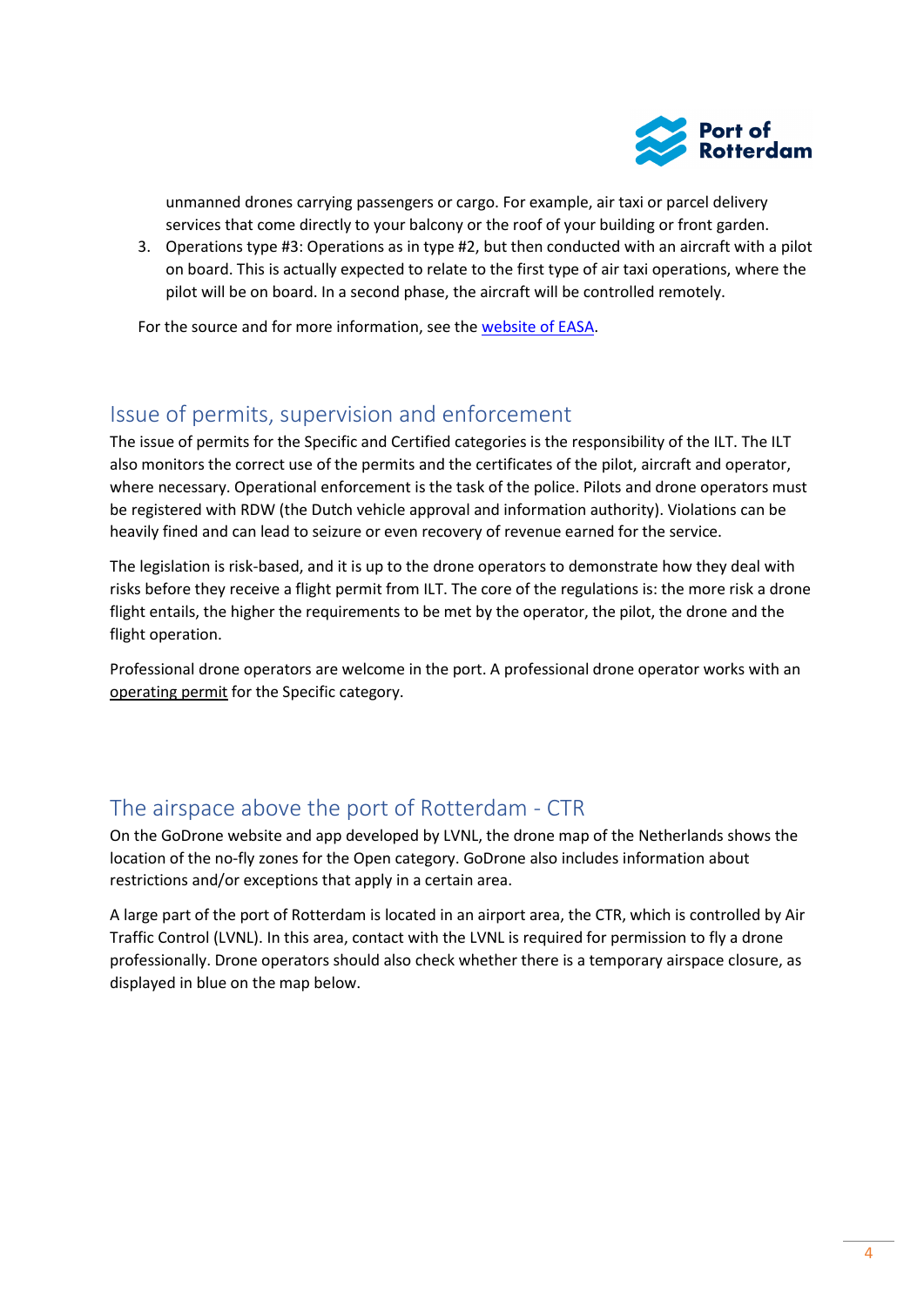

unmanned drones carrying passengers or cargo. For example, air taxi or parcel delivery services that come directly to your balcony or the roof of your building or front garden.

3. Operations type #3: Operations as in type #2, but then conducted with an aircraft with a pilot on board. This is actually expected to relate to the first type of air taxi operations, where the pilot will be on board. In a second phase, the aircraft will be controlled remotely.

For the source and for more information, see the [website of EASA.](https://www.easa.europa.eu/domains/civil-drones-rpas/certified-category-civil-drones)

### <span id="page-3-0"></span>Issue of permits, supervision and enforcement

The issue of permits for the Specific and Certified categories is the responsibility of the ILT. The ILT also monitors the correct use of the permits and the certificates of the pilot, aircraft and operator, where necessary. Operational enforcement is the task of the police. Pilots and drone operators must be registered with RDW (the Dutch vehicle approval and information authority). Violations can be heavily fined and can lead to seizure or even recovery of revenue earned for the service.

The legislation is risk-based, and it is up to the drone operators to demonstrate how they deal with risks before they receive a flight permit from ILT. The core of the regulations is: the more risk a drone flight entails, the higher the requirements to be met by the operator, the pilot, the drone and the flight operation.

Professional drone operators are welcome in the port. A professional drone operator works with an operating permit for the Specific category.

## <span id="page-3-1"></span>The airspace above the port of Rotterdam - CTR

On the GoDrone website and app developed by LVNL, the drone map of the Netherlands shows the location of the no-fly zones for the Open category. GoDrone also includes information about restrictions and/or exceptions that apply in a certain area.

A large part of the port of Rotterdam is located in an airport area, the CTR, which is controlled by Air Traffic Control (LVNL). In this area, contact with the LVNL is required for permission to fly a drone professionally. Drone operators should also check whether there is a temporary airspace closure, as displayed in blue on the map below.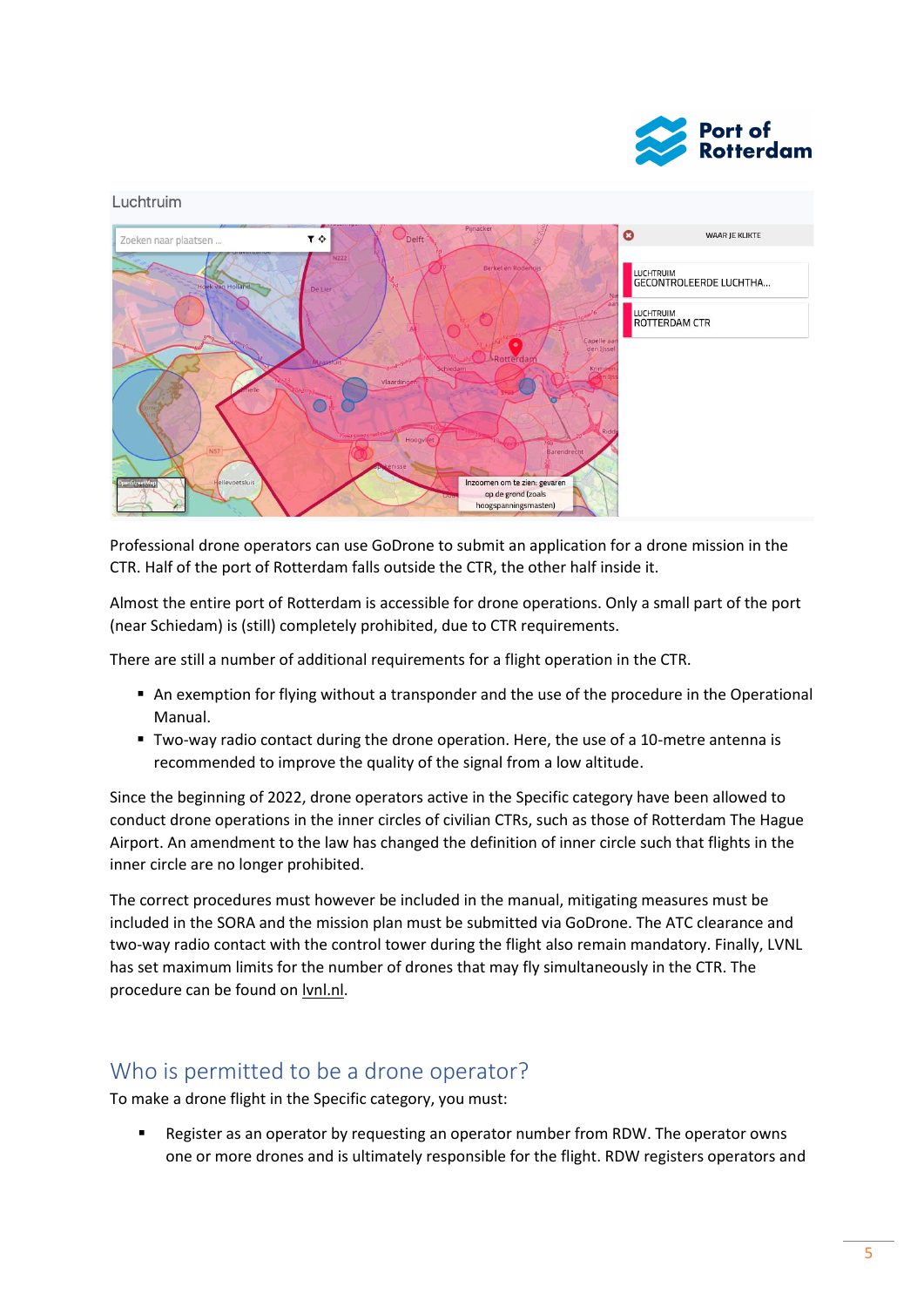

#### Luchtruim



Professional drone operators can use GoDrone to submit an application for a drone mission in the CTR. Half of the port of Rotterdam falls outside the CTR, the other half inside it.

Almost the entire port of Rotterdam is accessible for drone operations. Only a small part of the port (near Schiedam) is (still) completely prohibited, due to CTR requirements.

There are still a number of additional requirements for a flight operation in the CTR.

- An exemption for flying without a transponder and the use of the procedure in the Operational Manual.
- Two-way radio contact during the drone operation. Here, the use of a 10-metre antenna is recommended to improve the quality of the signal from a low altitude.

Since the beginning of 2022, drone operators active in the Specific category have been allowed to conduct drone operations in the inner circles of civilian CTRs, such as those of Rotterdam The Hague Airport. An amendment to the law has changed the definition of inner circle such that flights in the inner circle are no longer prohibited.

The correct procedures must however be included in the manual, mitigating measures must be included in the SORA and the mission plan must be submitted via GoDrone. The ATC clearance and two-way radio contact with the control tower during the flight also remain mandatory. Finally, LVNL has set maximum limits for the number of drones that may fly simultaneously in the CTR. The procedure can be found on [lvnl.nl.](https://www.lvnl.nl/ohd/bijzondere-vluchten/drones)

#### <span id="page-4-0"></span>Who is permitted to be a drone operator?

To make a drone flight in the Specific category, you must:

Register as an operator by requesting an operator number from RDW. The operator owns one or more drones and is ultimately responsible for the flight. RDW registers operators and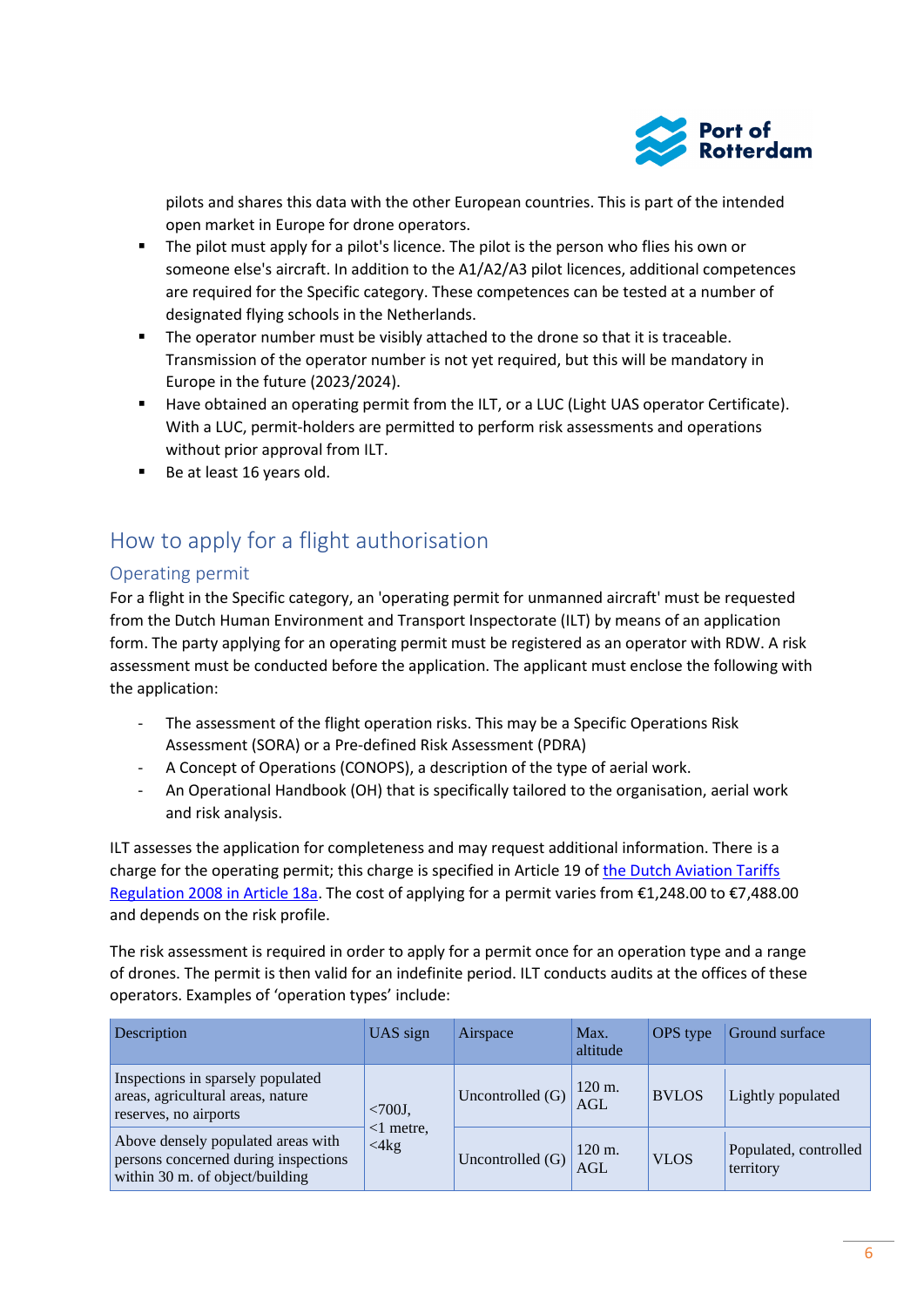

pilots and shares this data with the other European countries. This is part of the intended open market in Europe for drone operators.

- The pilot must apply for a pilot's licence. The pilot is the person who flies his own or someone else's aircraft. In addition to the A1/A2/A3 pilot licences, additional competences are required for the Specific category. These competences can be tested at a number of designated flying schools in the Netherlands.
- The operator number must be visibly attached to the drone so that it is traceable. Transmission of the operator number is not yet required, but this will be mandatory in Europe in the future (2023/2024).
- Have obtained an operating permit from the ILT, or a LUC (Light UAS operator Certificate). With a LUC, permit-holders are permitted to perform risk assessments and operations without prior approval from ILT.
- Be at least 16 years old.

## <span id="page-5-0"></span>How to apply for a flight authorisation

#### <span id="page-5-1"></span>Operating permit

For a flight in the Specific category, an 'operating permit for unmanned aircraft' must be requested from the Dutch Human Environment and Transport Inspectorate (ILT) by means of an application form. The party applying for an operating permit must be registered as an operator with RDW. A risk assessment must be conducted before the application. The applicant must enclose the following with the application:

- The assessment of the flight operation risks. This may be a Specific Operations Risk Assessment (SORA) or a Pre-defined Risk Assessment (PDRA)
- A Concept of Operations (CONOPS), a description of the type of aerial work.
- An Operational Handbook (OH) that is specifically tailored to the organisation, aerial work and risk analysis.

ILT assesses the application for completeness and may request additional information. There is a charge for the operating permit; this charge is specified in Article 19 o[f the Dutch Aviation Tariffs](https://wetten.overheid.nl/BWBR0023145/)  [Regulation 2008 in Article 18a](https://wetten.overheid.nl/BWBR0023145/). The cost of applying for a permit varies from €1,248.00 to €7,488.00 and depends on the risk profile.

The risk assessment is required in order to apply for a permit once for an operation type and a range of drones. The permit is then valid for an indefinite period. ILT conducts audits at the offices of these operators. Examples of 'operation types' include:

| Description                                                                                                   | UAS sign                                | Airspace         | Max.<br>altitude                | OPS type     | Ground surface                     |
|---------------------------------------------------------------------------------------------------------------|-----------------------------------------|------------------|---------------------------------|--------------|------------------------------------|
| Inspections in sparsely populated<br>areas, agricultural areas, nature<br>reserves, no airports               | $<700J$ ,<br>$<$ 1 metre,<br>$<$ 4 $kg$ | Uncontrolled (G) | 120 m.<br><b>AGL</b>            | <b>BVLOS</b> | Lightly populated                  |
| Above densely populated areas with<br>persons concerned during inspections<br>within 30 m. of object/building |                                         | Uncontrolled (G) | $120 \text{ m}$ .<br><b>AGL</b> | <b>VLOS</b>  | Populated, controlled<br>territory |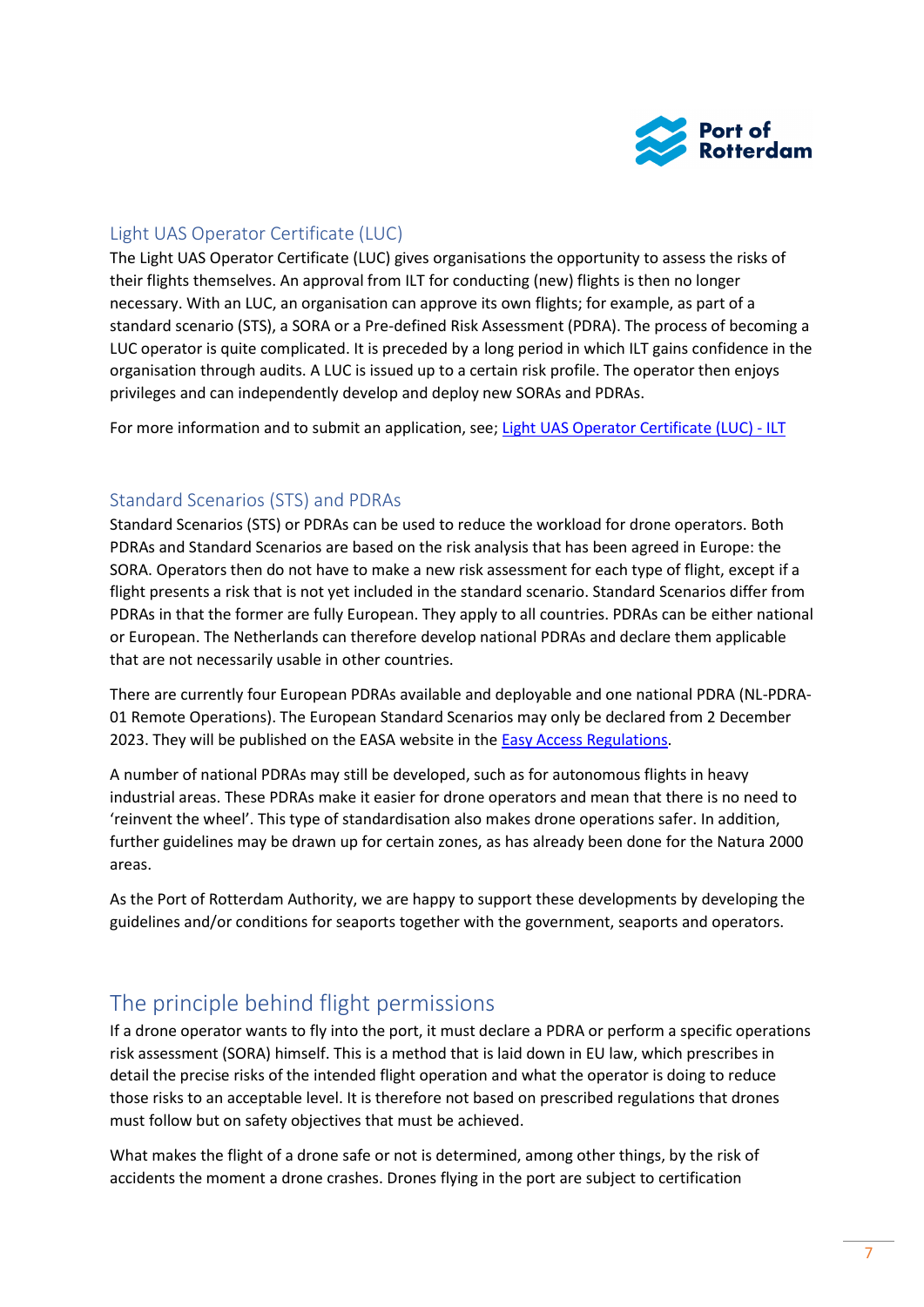

#### <span id="page-6-0"></span>Light UAS Operator Certificate (LUC)

The Light UAS Operator Certificate (LUC) gives organisations the opportunity to assess the risks of their flights themselves. An approval from ILT for conducting (new) flights is then no longer necessary. With an LUC, an organisation can approve its own flights; for example, as part of a standard scenario (STS), a SORA or a Pre-defined Risk Assessment (PDRA). The process of becoming a LUC operator is quite complicated. It is preceded by a long period in which ILT gains confidence in the organisation through audits. A LUC is issued up to a certain risk profile. The operator then enjoys privileges and can independently develop and deploy new SORAs and PDRAs.

For more information and to submit an application, see; [Light UAS Operator Certificate \(LUC\) -](https://www.ilent.nl/onderwerpen/drones/categorie-specifiek/light-uas-operator-certificate-luc) ILT

#### <span id="page-6-1"></span>Standard Scenarios (STS) and PDRAs

Standard Scenarios (STS) or PDRAs can be used to reduce the workload for drone operators. Both PDRAs and Standard Scenarios are based on the risk analysis that has been agreed in Europe: the SORA. Operators then do not have to make a new risk assessment for each type of flight, except if a flight presents a risk that is not yet included in the standard scenario. Standard Scenarios differ from PDRAs in that the former are fully European. They apply to all countries. PDRAs can be either national or European. The Netherlands can therefore develop national PDRAs and declare them applicable that are not necessarily usable in other countries.

There are currently four European PDRAs available and deployable and one national PDRA (NL-PDRA-01 Remote Operations). The European Standard Scenarios may only be declared from 2 December 2023. They will be published on the EASA website in the **Easy Access Regulations**.

A number of national PDRAs may still be developed, such as for autonomous flights in heavy industrial areas. These PDRAs make it easier for drone operators and mean that there is no need to 'reinvent the wheel'. This type of standardisation also makes drone operations safer. In addition, further guidelines may be drawn up for certain zones, as has already been done for the Natura 2000 areas.

As the Port of Rotterdam Authority, we are happy to support these developments by developing the guidelines and/or conditions for seaports together with the government, seaports and operators.

## <span id="page-6-2"></span>The principle behind flight permissions

If a drone operator wants to fly into the port, it must declare a PDRA or perform a specific operations risk assessment (SORA) himself. This is a method that is laid down in EU law, which prescribes in detail the precise risks of the intended flight operation and what the operator is doing to reduce those risks to an acceptable level. It is therefore not based on prescribed regulations that drones must follow but on safety objectives that must be achieved.

What makes the flight of a drone safe or not is determined, among other things, by the risk of accidents the moment a drone crashes. Drones flying in the port are subject to certification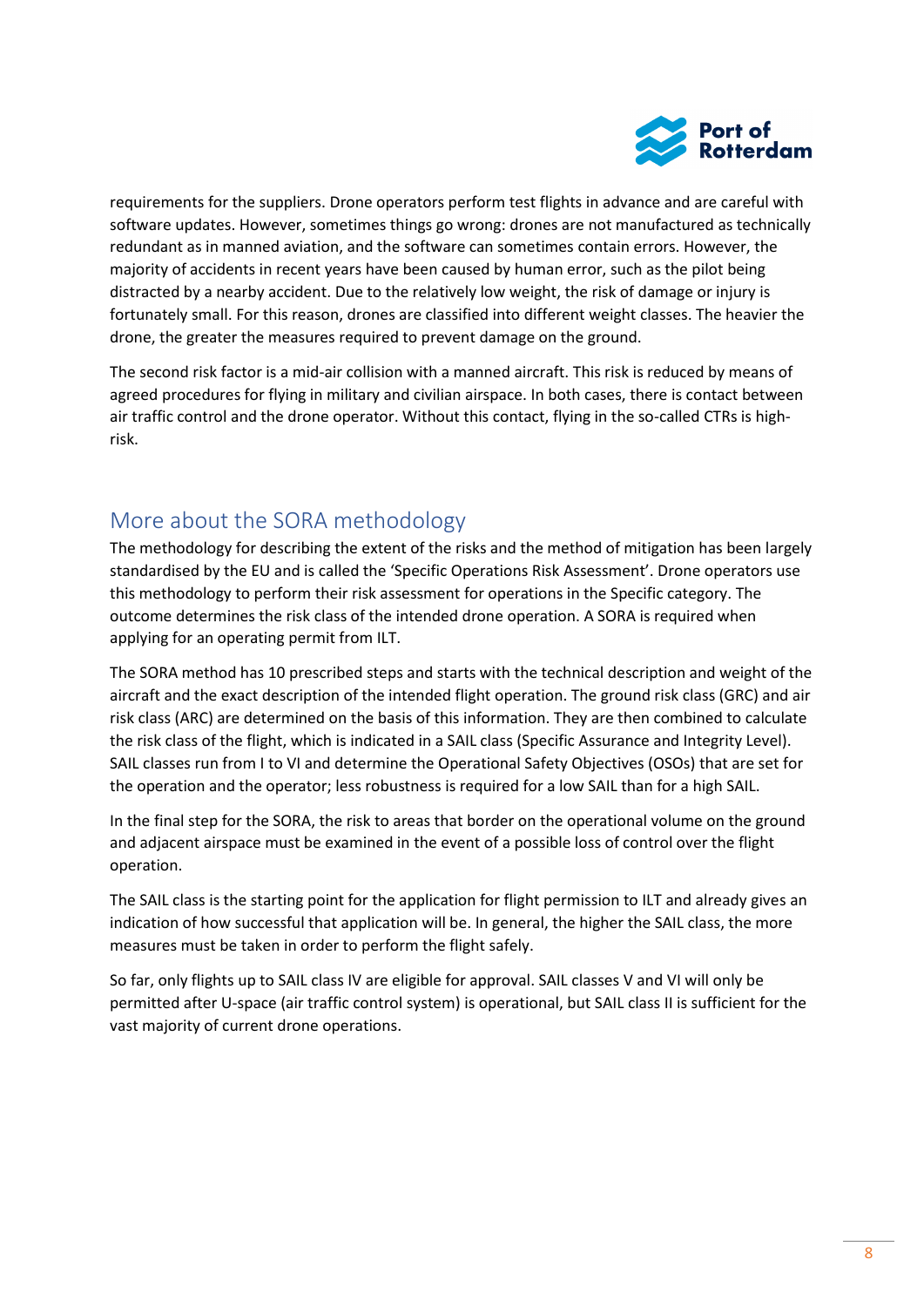

requirements for the suppliers. Drone operators perform test flights in advance and are careful with software updates. However, sometimes things go wrong: drones are not manufactured as technically redundant as in manned aviation, and the software can sometimes contain errors. However, the majority of accidents in recent years have been caused by human error, such as the pilot being distracted by a nearby accident. Due to the relatively low weight, the risk of damage or injury is fortunately small. For this reason, drones are classified into different weight classes. The heavier the drone, the greater the measures required to prevent damage on the ground.

The second risk factor is a mid-air collision with a manned aircraft. This risk is reduced by means of agreed procedures for flying in military and civilian airspace. In both cases, there is contact between air traffic control and the drone operator. Without this contact, flying in the so-called CTRs is highrisk.

## <span id="page-7-0"></span>More about the SORA methodology

The methodology for describing the extent of the risks and the method of mitigation has been largely standardised by the EU and is called the 'Specific Operations Risk Assessment'. Drone operators use this methodology to perform their risk assessment for operations in the Specific category. The outcome determines the risk class of the intended drone operation. A SORA is required when applying for an operating permit from ILT.

The SORA method has 10 prescribed steps and starts with the technical description and weight of the aircraft and the exact description of the intended flight operation. The ground risk class (GRC) and air risk class (ARC) are determined on the basis of this information. They are then combined to calculate the risk class of the flight, which is indicated in a SAIL class (Specific Assurance and Integrity Level). SAIL classes run from I to VI and determine the Operational Safety Objectives (OSOs) that are set for the operation and the operator; less robustness is required for a low SAIL than for a high SAIL.

In the final step for the SORA, the risk to areas that border on the operational volume on the ground and adjacent airspace must be examined in the event of a possible loss of control over the flight operation.

The SAIL class is the starting point for the application for flight permission to ILT and already gives an indication of how successful that application will be. In general, the higher the SAIL class, the more measures must be taken in order to perform the flight safely.

So far, only flights up to SAIL class IV are eligible for approval. SAIL classes V and VI will only be permitted after U-space (air traffic control system) is operational, but SAIL class II is sufficient for the vast majority of current drone operations.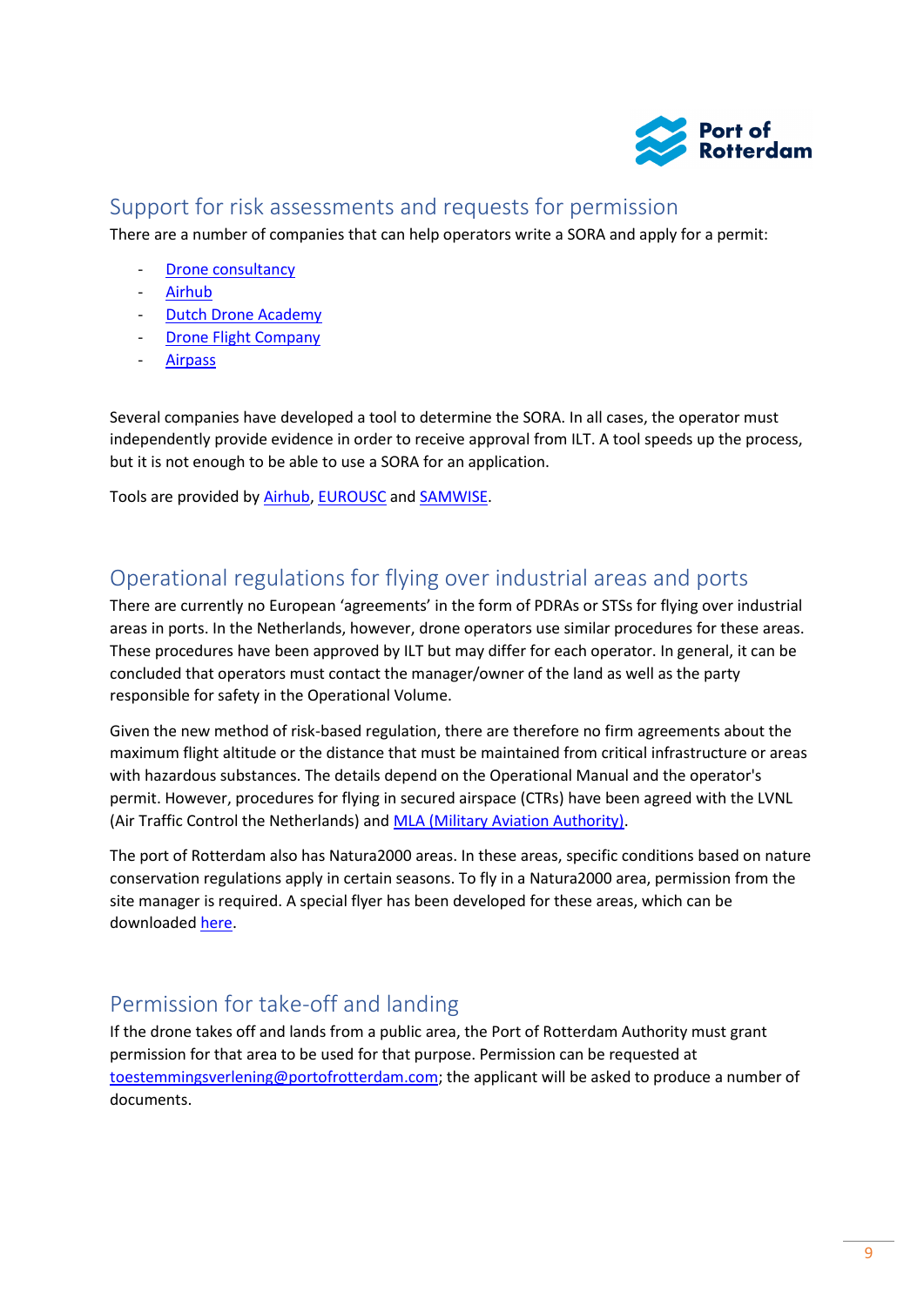

## <span id="page-8-0"></span>Support for risk assessments and requests for permission

There are a number of companies that can help operators write a SORA and apply for a permit:

- [Drone consultancy](https://droneconsultancy.nl/)
- [Airhub](https://www.airhub.app/)
- [Dutch Drone Academy](https://www.dutchdroneacademy.com/)
- [Drone Flight Company](https://www.droneflightcompany.com/)
- [Airpass](https://airpass.nu/)

Several companies have developed a tool to determine the SORA. In all cases, the operator must independently provide evidence in order to receive approval from ILT. A tool speeds up the process, but it is not enough to be able to use a SORA for an application.

Tools are provided by [Airhub,](https://www.airhub.app/online-sora-tool) [EUROUSC](https://www.eurousc.nl/drone-software) an[d SAMWISE.](https://www.online-sora.com/)

## <span id="page-8-1"></span>Operational regulations for flying over industrial areas and ports

There are currently no European 'agreements' in the form of PDRAs or STSs for flying over industrial areas in ports. In the Netherlands, however, drone operators use similar procedures for these areas. These procedures have been approved by ILT but may differ for each operator. In general, it can be concluded that operators must contact the manager/owner of the land as well as the party responsible for safety in the Operational Volume.

Given the new method of risk-based regulation, there are therefore no firm agreements about the maximum flight altitude or the distance that must be maintained from critical infrastructure or areas with hazardous substances. The details depend on the Operational Manual and the operator's permit. However, procedures for flying in secured airspace (CTRs) have been agreed with the LVNL (Air Traffic Control the Netherlands) and **MLA (Military Aviation Authority)**.

The port of Rotterdam also has Natura2000 areas. In these areas, specific conditions based on nature conservation regulations apply in certain seasons. To fly in a Natura2000 area, permission from the site manager is required. A special flyer has been developed for these areas, which can be downloaded [here.](https://www.dronewatch.nl/wp-content/uploads/2020/10/RWS-stroomschema-professionele-dronevlieger-Natura-2000-scaled.jpg)

# <span id="page-8-2"></span>Permission for take-off and landing

If the drone takes off and lands from a public area, the Port of Rotterdam Authority must grant permission for that area to be used for that purpose. Permission can be requested at [toestemmingsverlening@portofrotterdam.com;](mailto:toestemmingsverlening@portofrotterdam.com) the applicant will be asked to produce a number of documents.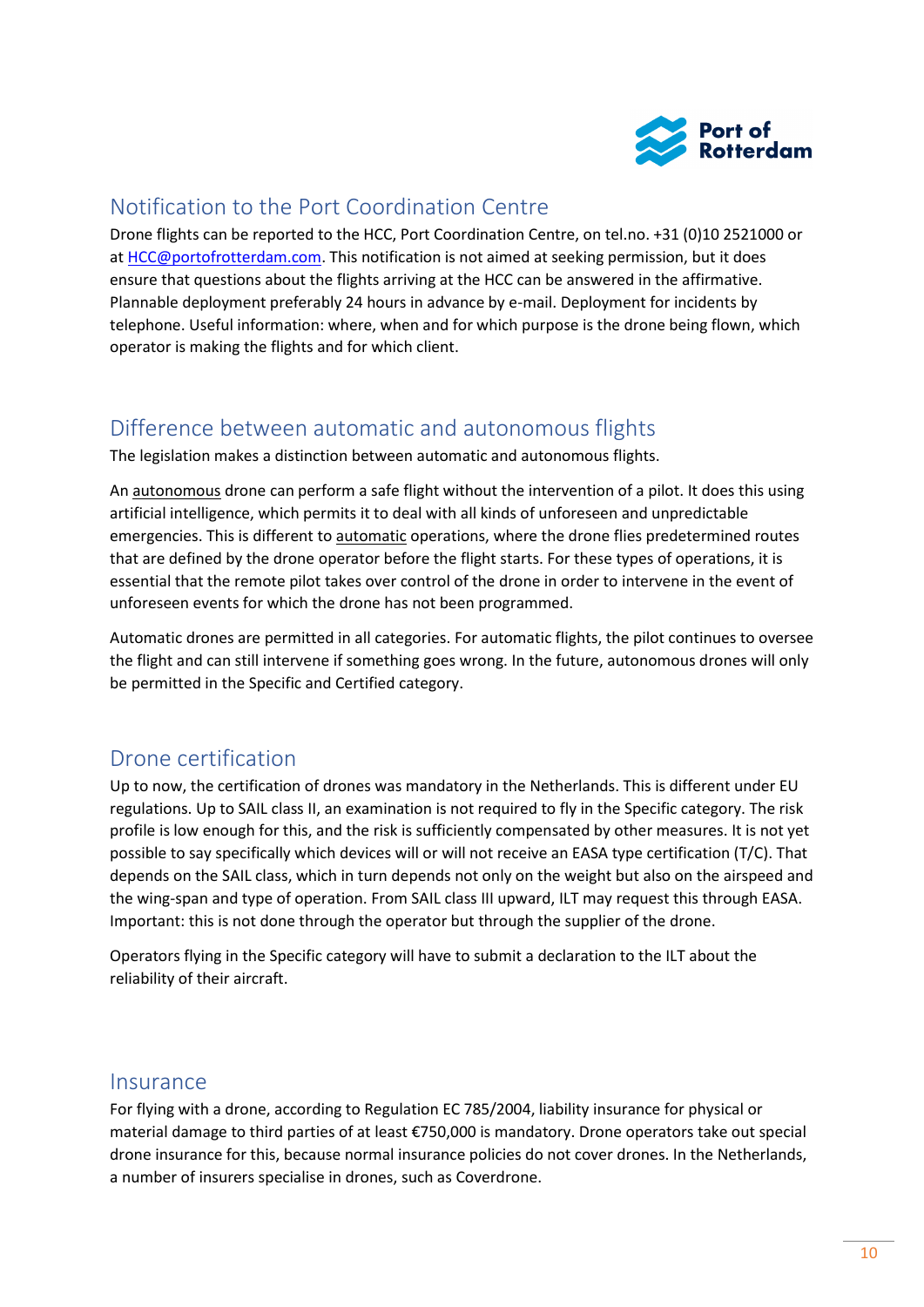

## <span id="page-9-0"></span>Notification to the Port Coordination Centre

Drone flights can be reported to the HCC, Port Coordination Centre, on tel.no. +31 (0)10 2521000 or at [HCC@portofrotterdam.com.](mailto:HCC@portofrotterdam.com) This notification is not aimed at seeking permission, but it does ensure that questions about the flights arriving at the HCC can be answered in the affirmative. Plannable deployment preferably 24 hours in advance by e-mail. Deployment for incidents by telephone. Useful information: where, when and for which purpose is the drone being flown, which operator is making the flights and for which client.

## <span id="page-9-1"></span>Difference between automatic and autonomous flights

The legislation makes a distinction between automatic and autonomous flights.

An autonomous drone can perform a safe flight without the intervention of a pilot. It does this using artificial intelligence, which permits it to deal with all kinds of unforeseen and unpredictable emergencies. This is different to automatic operations, where the drone flies predetermined routes that are defined by the drone operator before the flight starts. For these types of operations, it is essential that the remote pilot takes over control of the drone in order to intervene in the event of unforeseen events for which the drone has not been programmed.

Automatic drones are permitted in all categories. For automatic flights, the pilot continues to oversee the flight and can still intervene if something goes wrong. In the future, autonomous drones will only be permitted in the Specific and Certified category.

## <span id="page-9-2"></span>Drone certification

Up to now, the certification of drones was mandatory in the Netherlands. This is different under EU regulations. Up to SAIL class II, an examination is not required to fly in the Specific category. The risk profile is low enough for this, and the risk is sufficiently compensated by other measures. It is not yet possible to say specifically which devices will or will not receive an EASA type certification (T/C). That depends on the SAIL class, which in turn depends not only on the weight but also on the airspeed and the wing-span and type of operation. From SAIL class III upward, ILT may request this through EASA. Important: this is not done through the operator but through the supplier of the drone.

Operators flying in the Specific category will have to submit a declaration to the ILT about the reliability of their aircraft.

#### <span id="page-9-3"></span>Insurance

For flying with a drone, according to Regulation EC 785/2004, liability insurance for physical or material damage to third parties of at least €750,000 is mandatory. Drone operators take out special drone insurance for this, because normal insurance policies do not cover drones. In the Netherlands, a number of insurers specialise in drones, such as Coverdrone.